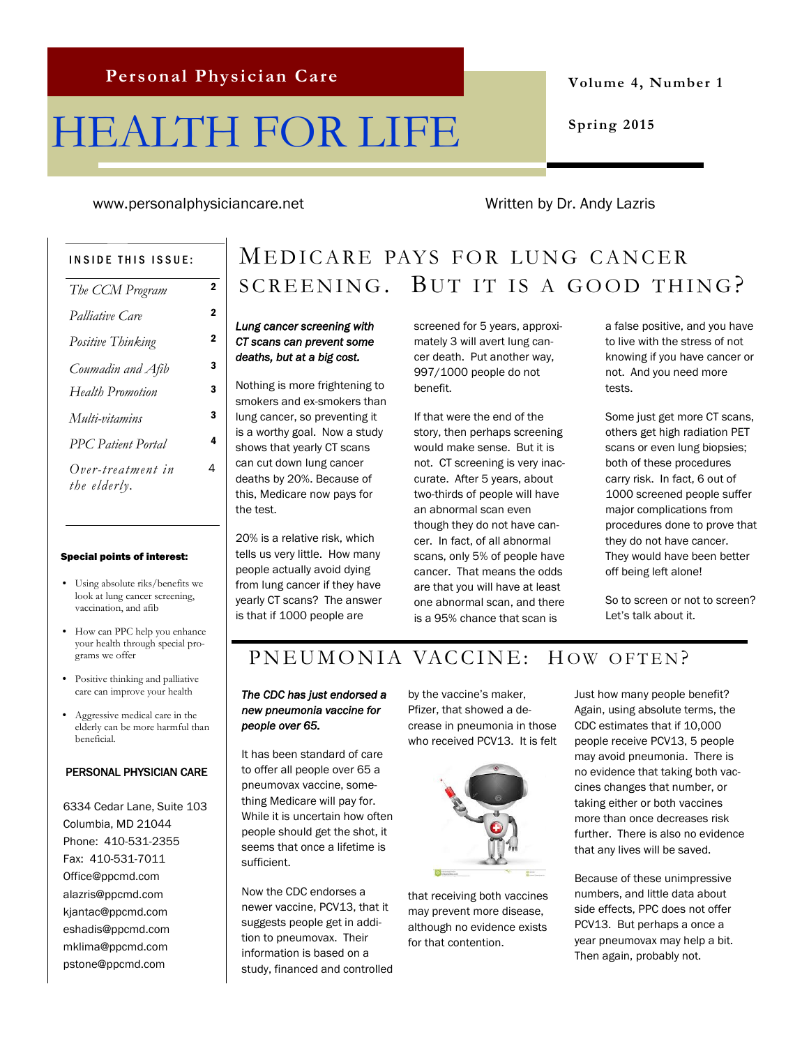# HEALTH FOR LIFE

**Volume 4, Number 1**

**Spring 2015**

www.personalphysiciancare.net Written by Dr. Andy Lazris

4

#### INSIDE THIS ISSUE:

| The CCM Program                   | 2 |
|-----------------------------------|---|
| Palliative Care                   | 2 |
| Positive Thinking                 | 2 |
| Coumadin and Afib                 | з |
| <b>Health Promotion</b>           | з |
| Multi-vitamins                    | 3 |
| <b>PPC</b> Patient Portal         | 4 |
| Over-treatment in<br>the elderly. | 4 |

#### Special points of interest:

- Using absolute riks/benefits we look at lung cancer screening, vaccination, and afib
- How can PPC help you enhance your health through special programs we offer
- Positive thinking and palliative care can improve your health
- Aggressive medical care in the elderly can be more harmful than beneficial.

#### PERSONAL PHYSICIAN CARE

6334 Cedar Lane, Suite 103 Columbia, MD 21044 Phone: 410-531-2355 Fax: 410-531-7011 Office@ppcmd.com alazris@ppcmd.com kjantac@ppcmd.com eshadis@ppcmd.com mklima@ppcmd.com pstone@ppcmd.com

# MEDICARE PAYS FOR LUNG CANCER  $SCREENING.$  BUT IT IS A GOOD THING?

### *Lung cancer screening with CT scans can prevent some deaths, but at a big cost.*

Nothing is more frightening to smokers and ex-smokers than lung cancer, so preventing it is a worthy goal. Now a study shows that yearly CT scans can cut down lung cancer deaths by 20%. Because of this, Medicare now pays for the test.

20% is a relative risk, which tells us very little. How many people actually avoid dying from lung cancer if they have yearly CT scans? The answer is that if 1000 people are

screened for 5 years, approximately 3 will avert lung cancer death. Put another way, 997/1000 people do not benefit.

If that were the end of the story, then perhaps screening would make sense. But it is not. CT screening is very inaccurate. After 5 years, about two-thirds of people will have an abnormal scan even though they do not have cancer. In fact, of all abnormal scans, only 5% of people have cancer. That means the odds are that you will have at least one abnormal scan, and there is a 95% chance that scan is

a false positive, and you have to live with the stress of not knowing if you have cancer or not. And you need more tests.

Some just get more CT scans, others get high radiation PET scans or even lung biopsies; both of these procedures carry risk. In fact, 6 out of 1000 screened people suffer major complications from procedures done to prove that they do not have cancer. They would have been better off being left alone!

So to screen or not to screen? Let's talk about it.

# PN EUMONIA VACCINE: HOW OFTEN?

### *The CDC has just endorsed a new pneumonia vaccine for people over 65.*

It has been standard of care to offer all people over 65 a pneumovax vaccine, something Medicare will pay for. While it is uncertain how often people should get the shot, it seems that once a lifetime is sufficient.

Now the CDC endorses a newer vaccine, PCV13, that it suggests people get in addition to pneumovax. Their information is based on a study, financed and controlled by the vaccine's maker, Pfizer, that showed a decrease in pneumonia in those who received PCV13. It is felt



that receiving both vaccines may prevent more disease, although no evidence exists for that contention.

Just how many people benefit? Again, using absolute terms, the CDC estimates that if 10,000 people receive PCV13, 5 people may avoid pneumonia. There is no evidence that taking both vaccines changes that number, or taking either or both vaccines more than once decreases risk further. There is also no evidence that any lives will be saved.

Because of these unimpressive numbers, and little data about side effects, PPC does not offer PCV13. But perhaps a once a year pneumovax may help a bit. Then again, probably not.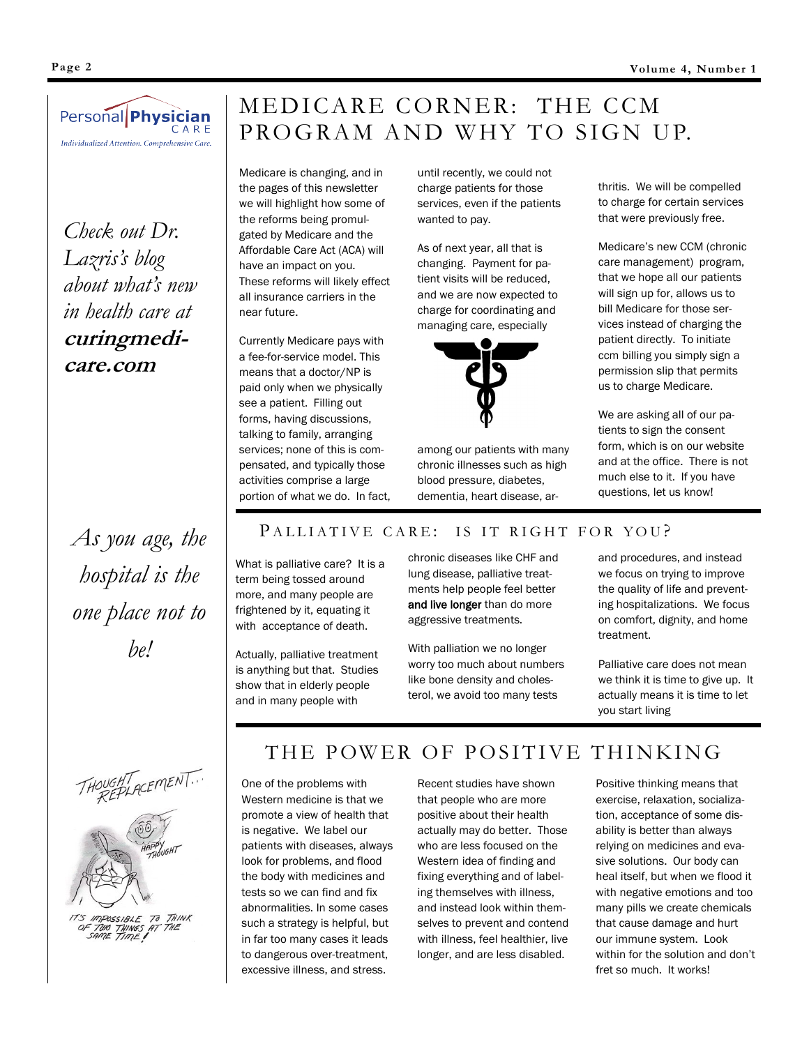

*Check out Dr. Lazris's blog about what's new in health care at*  **curingmedicare.com**

*As you age, the hospital is the one place not to be!*

# MEDICARE CORNER: THE CCM PROGRAM AND WHY TO SIGN UP.

Medicare is changing, and in the pages of this newsletter we will highlight how some of the reforms being promulgated by Medicare and the Affordable Care Act (ACA) will have an impact on you. These reforms will likely effect all insurance carriers in the near future.

Currently Medicare pays with a fee-for-service model. This means that a doctor/NP is paid only when we physically see a patient. Filling out forms, having discussions, talking to family, arranging services; none of this is compensated, and typically those activities comprise a large portion of what we do. In fact, until recently, we could not charge patients for those services, even if the patients wanted to pay.

As of next year, all that is changing. Payment for patient visits will be reduced, and we are now expected to charge for coordinating and managing care, especially



among our patients with many chronic illnesses such as high blood pressure, diabetes, dementia, heart disease, ar-

thritis. We will be compelled to charge for certain services that were previously free.

Medicare's new CCM (chronic care management) program, that we hope all our patients will sign up for, allows us to bill Medicare for those services instead of charging the patient directly. To initiate ccm billing you simply sign a permission slip that permits us to charge Medicare.

We are asking all of our patients to sign the consent form, which is on our website and at the office. There is not much else to it. If you have questions, let us know!

### PALLIATIVE CARE: IS IT RIGHT FOR YOU?

What is palliative care? It is a term being tossed around more, and many people are frightened by it, equating it with acceptance of death.

Actually, palliative treatment is anything but that. Studies show that in elderly people and in many people with

chronic diseases like CHF and lung disease, palliative treatments help people feel better and live longer than do more aggressive treatments.

With palliation we no longer worry too much about numbers like bone density and cholesterol, we avoid too many tests

and procedures, and instead we focus on trying to improve the quality of life and preventing hospitalizations. We focus on comfort, dignity, and home treatment.

Palliative care does not mean we think it is time to give up. It actually means it is time to let you start living





THINK<br>THE

### THE POWER OF POSITIVE THINKING

One of the problems with Western medicine is that we promote a view of health that is negative. We label our patients with diseases, always look for problems, and flood the body with medicines and tests so we can find and fix abnormalities. In some cases such a strategy is helpful, but in far too many cases it leads to dangerous over-treatment, excessive illness, and stress.

Recent studies have shown that people who are more positive about their health actually may do better. Those who are less focused on the Western idea of finding and fixing everything and of labeling themselves with illness, and instead look within themselves to prevent and contend with illness, feel healthier, live longer, and are less disabled.

Positive thinking means that exercise, relaxation, socialization, acceptance of some disability is better than always relying on medicines and evasive solutions. Our body can heal itself, but when we flood it with negative emotions and too many pills we create chemicals that cause damage and hurt our immune system. Look within for the solution and don't fret so much. It works!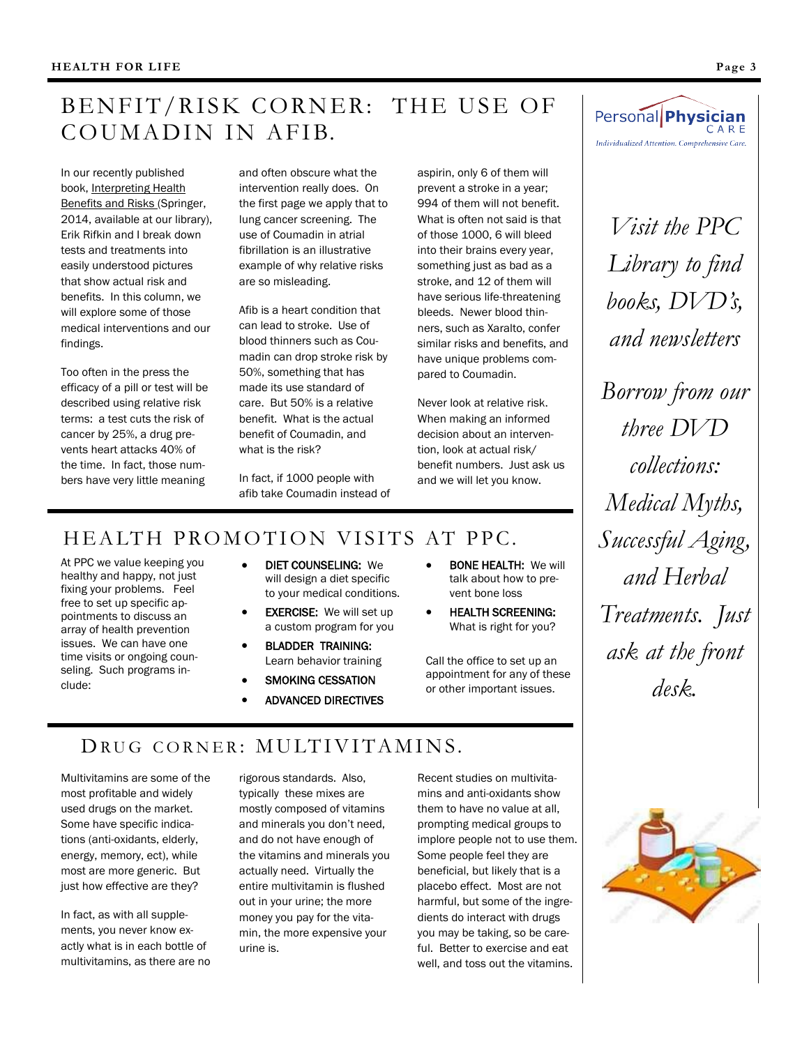# BENFIT/RISK CORNER: THE USE OF COUMADIN IN AFIB.

In our recently published book, Interpreting Health Benefits and Risks (Springer, 2014, available at our library), Erik Rifkin and I break down tests and treatments into easily understood pictures that show actual risk and benefits. In this column, we will explore some of those medical interventions and our findings.

Too often in the press the efficacy of a pill or test will be described using relative risk terms: a test cuts the risk of cancer by 25%, a drug prevents heart attacks 40% of the time. In fact, those numbers have very little meaning

and often obscure what the intervention really does. On the first page we apply that to lung cancer screening. The use of Coumadin in atrial fibrillation is an illustrative example of why relative risks are so misleading.

Afib is a heart condition that can lead to stroke. Use of blood thinners such as Coumadin can drop stroke risk by 50%, something that has made its use standard of care. But 50% is a relative benefit. What is the actual benefit of Coumadin, and what is the risk?

In fact, if 1000 people with afib take Coumadin instead of

HEALTH PROMOTION VISITS AT PPC.

At PPC we value keeping you healthy and happy, not just fixing your problems. Feel free to set up specific appointments to discuss an array of health prevention issues. We can have one time visits or ongoing counseling. Such programs include:

- DIET COUNSELING: We will design a diet specific to your medical conditions.
- EXERCISE: We will set up a custom program for you
- BLADDER TRAINING: Learn behavior training
- SMOKING CESSATION ADVANCED DIRECTIVES
- BONE HEALTH: We will talk about how to prevent bone loss

aspirin, only 6 of them will prevent a stroke in a year; 994 of them will not benefit. What is often not said is that of those 1000, 6 will bleed into their brains every year, something just as bad as a stroke, and 12 of them will have serious life-threatening bleeds. Newer blood thinners, such as Xaralto, confer similar risks and benefits, and have unique problems compared to Coumadin.

Never look at relative risk. When making an informed decision about an intervention, look at actual risk/ benefit numbers. Just ask us and we will let you know.

**• HEALTH SCREENING:** What is right for you?

Call the office to set up an appointment for any of these or other important issues.



*Visit the PPC Library to find books, DVD's, and newsletters*

*Borrow from our three DVD collections: Medical Myths, Successful Aging, and Herbal Treatments. Just ask at the front desk.*

# DRUG CORNER: MULTIVITAMINS.

Multivitamins are some of the most profitable and widely used drugs on the market. Some have specific indications (anti-oxidants, elderly, energy, memory, ect), while most are more generic. But just how effective are they?

In fact, as with all supplements, you never know exactly what is in each bottle of multivitamins, as there are no rigorous standards. Also, typically these mixes are mostly composed of vitamins and minerals you don't need, and do not have enough of the vitamins and minerals you actually need. Virtually the entire multivitamin is flushed out in your urine; the more money you pay for the vitamin, the more expensive your urine is.

Recent studies on multivitamins and anti-oxidants show them to have no value at all, prompting medical groups to implore people not to use them. Some people feel they are beneficial, but likely that is a placebo effect. Most are not harmful, but some of the ingredients do interact with drugs you may be taking, so be careful. Better to exercise and eat well, and toss out the vitamins.